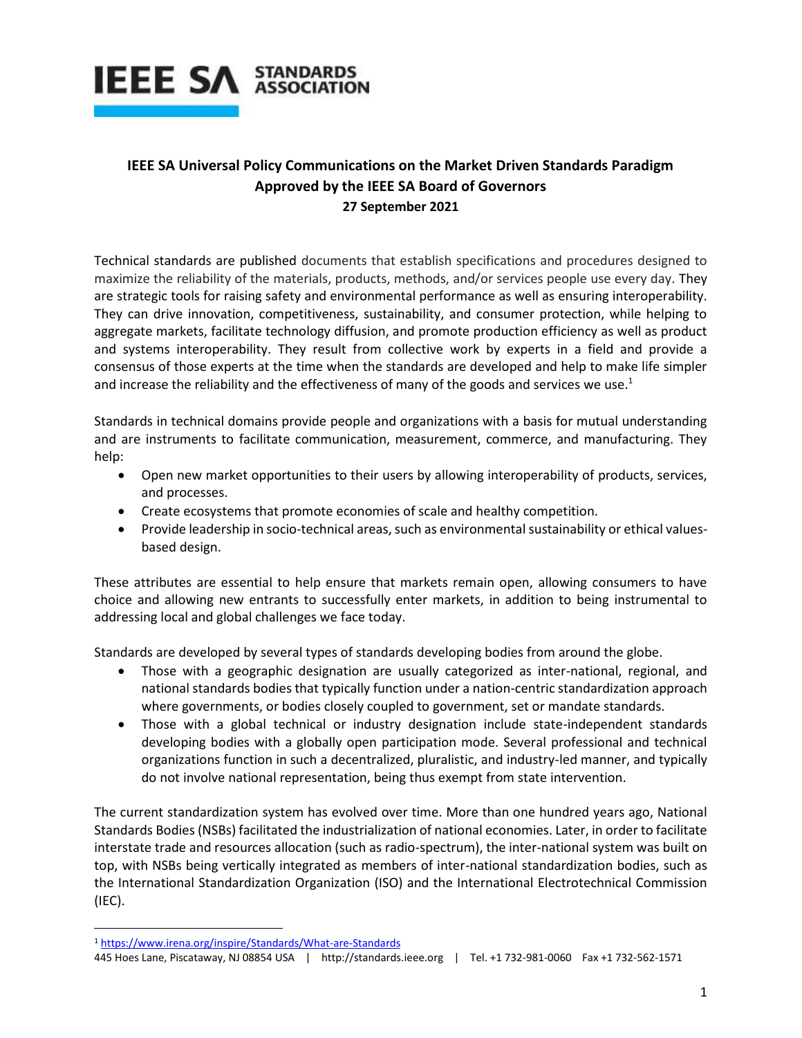

## **IEEE SA Universal Policy Communications on the Market Driven Standards Paradigm Approved by the IEEE SA Board of Governors 27 September 2021**

Technical standards are published documents that establish specifications and procedures designed to maximize the reliability of the materials, products, methods, and/or services people use every day. They are strategic tools for raising safety and environmental performance as well as ensuring interoperability. They can drive innovation, competitiveness, sustainability, and consumer protection, while helping to aggregate markets, facilitate technology diffusion, and promote production efficiency as well as product and systems interoperability. They result from collective work by experts in a field and provide a consensus of those experts at the time when the standards are developed and help to make life simpler and increase the reliability and the effectiveness of many of the goods and services we use.<sup>1</sup>

Standards in technical domains provide people and organizations with a basis for mutual understanding and are instruments to facilitate communication, measurement, commerce, and manufacturing. They help:

- Open new market opportunities to their users by allowing interoperability of products, services, and processes.
- Create ecosystems that promote economies of scale and healthy competition.
- Provide leadership in socio-technical areas, such as environmental sustainability or ethical valuesbased design.

These attributes are essential to help ensure that markets remain open, allowing consumers to have choice and allowing new entrants to successfully enter markets, in addition to being instrumental to addressing local and global challenges we face today.

Standards are developed by several types of standards developing bodies from around the globe.

- Those with a geographic designation are usually categorized as inter-national, regional, and national standards bodies that typically function under a nation-centric standardization approach where governments, or bodies closely coupled to government, set or mandate standards.
- Those with a global technical or industry designation include state-independent standards developing bodies with a globally open participation mode. Several professional and technical organizations function in such a decentralized, pluralistic, and industry-led manner, and typically do not involve national representation, being thus exempt from state intervention.

The current standardization system has evolved over time. More than one hundred years ago, National Standards Bodies (NSBs) facilitated the industrialization of national economies. Later, in order to facilitate interstate trade and resources allocation (such as radio-spectrum), the inter-national system was built on top, with NSBs being vertically integrated as members of inter-national standardization bodies, such as the International Standardization Organization (ISO) and the International Electrotechnical Commission (IEC).

 $\overline{\phantom{a}}$ 

<sup>1</sup> <https://www.irena.org/inspire/Standards/What-are-Standards>

<sup>445</sup> Hoes Lane, Piscataway, NJ 08854 USA | http://standards.ieee.org | Tel. +1 732-981-0060 Fax +1 732-562-1571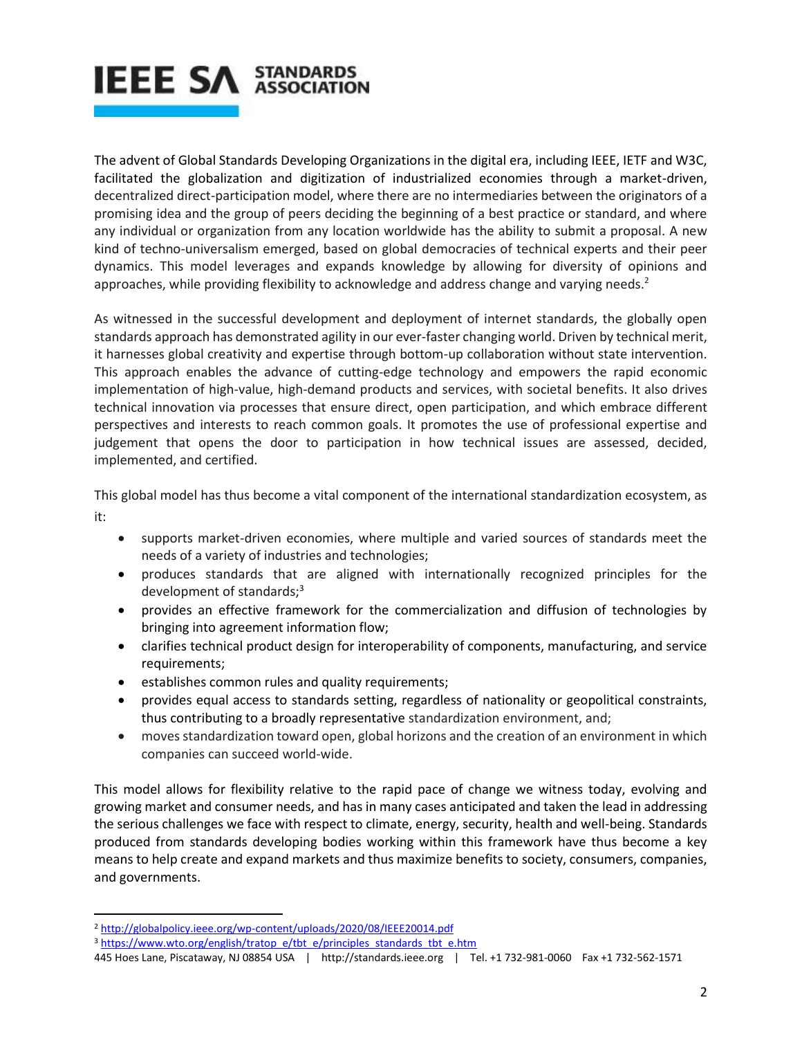

The advent of Global Standards Developing Organizations in the digital era, including IEEE, IETF and W3C, facilitated the globalization and digitization of industrialized economies through a market-driven, decentralized direct-participation model, where there are no intermediaries between the originators of a promising idea and the group of peers deciding the beginning of a best practice or standard, and where any individual or organization from any location worldwide has the ability to submit a proposal. A new kind of techno-universalism emerged, based on global democracies of technical experts and their peer dynamics. This model leverages and expands knowledge by allowing for diversity of opinions and approaches, while providing flexibility to acknowledge and address change and varying needs.<sup>2</sup>

As witnessed in the successful development and deployment of internet standards, the globally open standards approach has demonstrated agility in our ever-faster changing world. Driven by technical merit, it harnesses global creativity and expertise through bottom-up collaboration without state intervention. This approach enables the advance of cutting-edge technology and empowers the rapid economic implementation of high-value, high-demand products and services, with societal benefits. It also drives technical innovation via processes that ensure direct, open participation, and which embrace different perspectives and interests to reach common goals. It promotes the use of professional expertise and judgement that opens the door to participation in how technical issues are assessed, decided, implemented, and certified.

This global model has thus become a vital component of the international standardization ecosystem, as it:

- supports market-driven economies, where multiple and varied sources of standards meet the needs of a variety of industries and technologies;
- produces standards that are aligned with internationally recognized principles for the development of standards;<sup>3</sup>
- provides an effective framework for the commercialization and diffusion of technologies by bringing into agreement information flow;
- clarifies technical product design for interoperability of components, manufacturing, and service requirements;
- **•** establishes common rules and quality requirements;
- provides equal access to standards setting, regardless of nationality or geopolitical constraints, thus contributing to a broadly representative standardization environment, and;
- moves standardization toward open, global horizons and the creation of an environment in which companies can succeed world-wide.

This model allows for flexibility relative to the rapid pace of change we witness today, evolving and growing market and consumer needs, and has in many cases anticipated and taken the lead in addressing the serious challenges we face with respect to climate, energy, security, health and well-being. Standards produced from standards developing bodies working within this framework have thus become a key means to help create and expand markets and thus maximize benefits to society, consumers, companies, and governments.

 $\overline{\phantom{a}}$ 

<sup>2</sup> <http://globalpolicy.ieee.org/wp-content/uploads/2020/08/IEEE20014.pdf>

<sup>&</sup>lt;sup>3</sup> [https://www.wto.org/english/tratop\\_e/tbt\\_e/principles\\_standards\\_tbt\\_e.htm](https://www.wto.org/english/tratop_e/tbt_e/principles_standards_tbt_e.htm)

<sup>445</sup> Hoes Lane, Piscataway, NJ 08854 USA | http://standards.ieee.org | Tel. +1 732-981-0060 Fax +1 732-562-1571